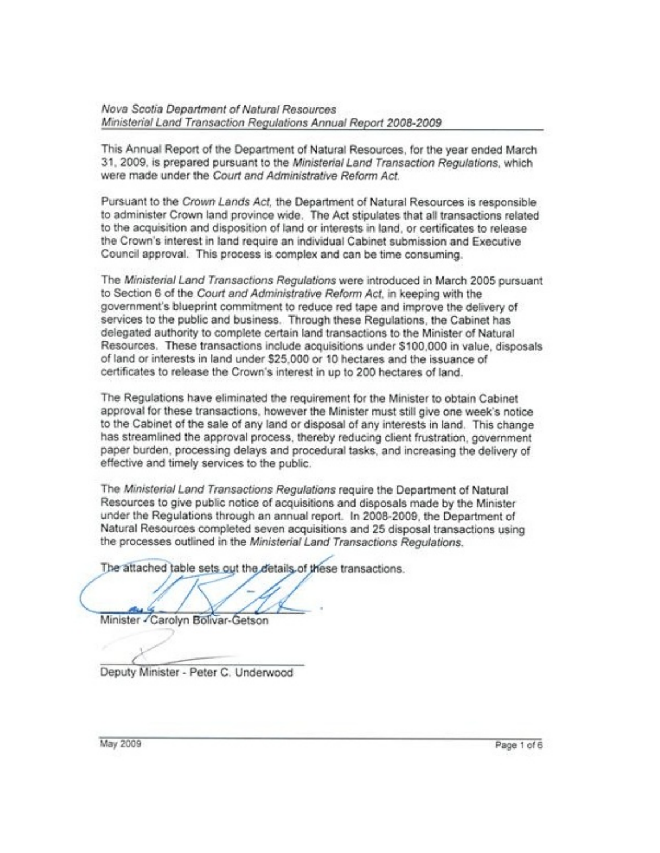Nova Scotia Department of Natural Resources Ministerial Land Transaction Regulations Annual Report 2008-2009

This Annual Report of the Department of Natural Resources, for the year ended March 31, 2009, is prepared pursuant to the Ministerial Land Transaction Regulations, which were made under the Court and Administrative Reform Act.

Pursuant to the Crown Lands Act, the Department of Natural Resources is responsible to administer Crown land province wide. The Act stipulates that all transactions related to the acquisition and disposition of land or interests in land, or certificates to release the Crown's interest in land require an individual Cabinet submission and Executive Council approval. This process is complex and can be time consuming.

The Ministerial Land Transactions Regulations were introduced in March 2005 pursuant to Section 6 of the Court and Administrative Reform Act, in keeping with the government's blueprint commitment to reduce red tape and improve the delivery of services to the public and business. Through these Regulations, the Cabinet has delegated authority to complete certain land transactions to the Minister of Natural Resources. These transactions include acquisitions under \$100,000 in value, disposals of land or interests in land under \$25,000 or 10 hectares and the issuance of certificates to release the Crown's interest in up to 200 hectares of land.

The Regulations have eliminated the requirement for the Minister to obtain Cabinet approval for these transactions, however the Minister must still give one week's notice to the Cabinet of the sale of any land or disposal of any interests in land. This change has streamlined the approval process, thereby reducing client frustration, government paper burden, processing delays and procedural tasks, and increasing the delivery of effective and timely services to the public.

The Ministerial Land Transactions Regulations require the Department of Natural Resources to give public notice of acquisitions and disposals made by the Minister under the Regulations through an annual report. In 2008-2009, the Department of Natural Resources completed seven acquisitions and 25 disposal transactions using the processes outlined in the Ministerial Land Transactions Regulations.

The attached table sets out the details of these transactions.

Minister - Carolyn Bolivar-Getson

Deputy Minister - Peter C. Underwood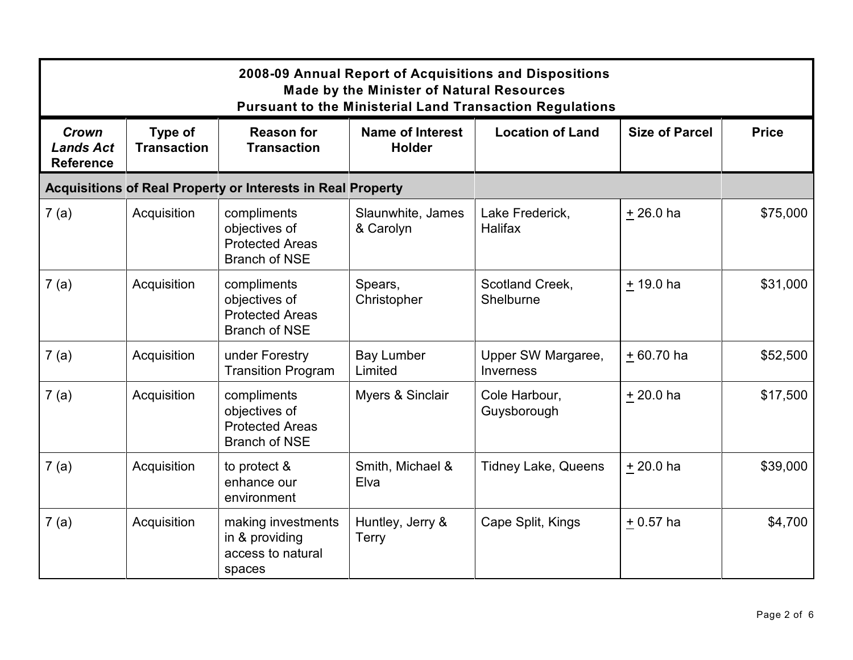| 2008-09 Annual Report of Acquisitions and Dispositions<br><b>Made by the Minister of Natural Resources</b><br><b>Pursuant to the Ministerial Land Transaction Regulations</b> |                               |                                                                                |                                          |                                 |                       |              |  |
|-------------------------------------------------------------------------------------------------------------------------------------------------------------------------------|-------------------------------|--------------------------------------------------------------------------------|------------------------------------------|---------------------------------|-----------------------|--------------|--|
| Crown<br><b>Lands Act</b><br><b>Reference</b>                                                                                                                                 | Type of<br><b>Transaction</b> | <b>Reason for</b><br><b>Transaction</b>                                        | <b>Name of Interest</b><br><b>Holder</b> | <b>Location of Land</b>         | <b>Size of Parcel</b> | <b>Price</b> |  |
|                                                                                                                                                                               |                               | <b>Acquisitions of Real Property or Interests in Real Property</b>             |                                          |                                 |                       |              |  |
| 7(a)                                                                                                                                                                          | Acquisition                   | compliments<br>objectives of<br><b>Protected Areas</b><br><b>Branch of NSE</b> | Slaunwhite, James<br>& Carolyn           | Lake Frederick,<br>Halifax      | $+26.0$ ha            | \$75,000     |  |
| 7(a)                                                                                                                                                                          | Acquisition                   | compliments<br>objectives of<br><b>Protected Areas</b><br><b>Branch of NSE</b> | Spears,<br>Christopher                   | Scotland Creek,<br>Shelburne    | $+19.0$ ha            | \$31,000     |  |
| 7(a)                                                                                                                                                                          | Acquisition                   | under Forestry<br><b>Transition Program</b>                                    | <b>Bay Lumber</b><br>Limited             | Upper SW Margaree,<br>Inverness | $+60.70$ ha           | \$52,500     |  |
| 7(a)                                                                                                                                                                          | Acquisition                   | compliments<br>objectives of<br><b>Protected Areas</b><br><b>Branch of NSE</b> | Myers & Sinclair                         | Cole Harbour,<br>Guysborough    | $+20.0$ ha            | \$17,500     |  |
| 7(a)                                                                                                                                                                          | Acquisition                   | to protect &<br>enhance our<br>environment                                     | Smith, Michael &<br>Elva                 | <b>Tidney Lake, Queens</b>      | $+20.0$ ha            | \$39,000     |  |
| 7(a)                                                                                                                                                                          | Acquisition                   | making investments<br>in & providing<br>access to natural<br>spaces            | Huntley, Jerry &<br><b>Terry</b>         | Cape Split, Kings               | $+0.57$ ha            | \$4,700      |  |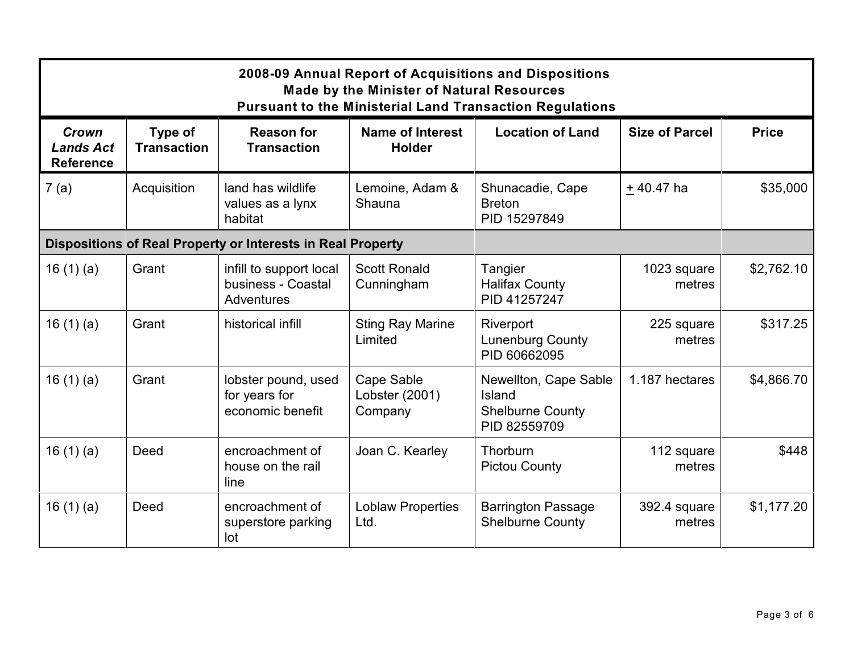| 2008-09 Annual Report of Acquisitions and Dispositions<br><b>Made by the Minister of Natural Resources</b><br><b>Pursuant to the Ministerial Land Transaction Regulations</b> |                               |                                                                    |                                          |                                                                            |                        |              |  |
|-------------------------------------------------------------------------------------------------------------------------------------------------------------------------------|-------------------------------|--------------------------------------------------------------------|------------------------------------------|----------------------------------------------------------------------------|------------------------|--------------|--|
| Crown<br><b>Lands Act</b><br><b>Reference</b>                                                                                                                                 | Type of<br><b>Transaction</b> | <b>Reason for</b><br><b>Transaction</b>                            | <b>Name of Interest</b><br><b>Holder</b> | <b>Location of Land</b>                                                    | <b>Size of Parcel</b>  | <b>Price</b> |  |
| 7(a)                                                                                                                                                                          | Acquisition                   | land has wildlife<br>values as a lynx<br>habitat                   | Lemoine, Adam &<br>Shauna                | Shunacadie, Cape<br><b>Breton</b><br>PID 15297849                          | $+40.47$ ha            | \$35,000     |  |
|                                                                                                                                                                               |                               | Dispositions of Real Property or Interests in Real Property        |                                          |                                                                            |                        |              |  |
| 16(1)(a)                                                                                                                                                                      | Grant                         | infill to support local<br>business - Coastal<br><b>Adventures</b> | <b>Scott Ronald</b><br>Cunningham        | Tangier<br><b>Halifax County</b><br>PID 41257247                           | 1023 square<br>metres  | \$2,762.10   |  |
| 16(1)(a)                                                                                                                                                                      | Grant                         | historical infill                                                  | <b>Sting Ray Marine</b><br>Limited       | Riverport<br><b>Lunenburg County</b><br>PID 60662095                       | 225 square<br>metres   | \$317.25     |  |
| 16(1)(a)                                                                                                                                                                      | Grant                         | lobster pound, used<br>for years for<br>economic benefit           | Cape Sable<br>Lobster (2001)<br>Company  | Newellton, Cape Sable<br>Island<br><b>Shelburne County</b><br>PID 82559709 | 1.187 hectares         | \$4,866.70   |  |
| 16 $(1)(a)$                                                                                                                                                                   | Deed                          | encroachment of<br>house on the rail<br>line                       | Joan C. Kearley                          | Thorburn<br><b>Pictou County</b>                                           | 112 square<br>metres   | \$448        |  |
| 16 $(1)(a)$                                                                                                                                                                   | Deed                          | encroachment of<br>superstore parking<br>lot                       | <b>Loblaw Properties</b><br>Ltd.         | <b>Barrington Passage</b><br><b>Shelburne County</b>                       | 392.4 square<br>metres | \$1,177.20   |  |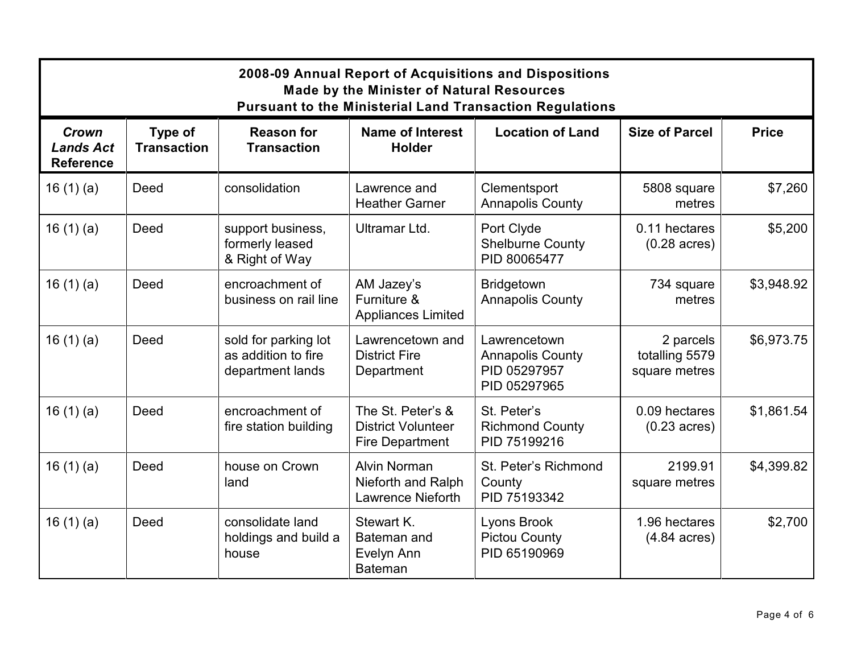| 2008-09 Annual Report of Acquisitions and Dispositions<br><b>Made by the Minister of Natural Resources</b><br><b>Pursuant to the Ministerial Land Transaction Regulations</b> |                               |                                                                 |                                                                          |                                                                         |                                              |              |
|-------------------------------------------------------------------------------------------------------------------------------------------------------------------------------|-------------------------------|-----------------------------------------------------------------|--------------------------------------------------------------------------|-------------------------------------------------------------------------|----------------------------------------------|--------------|
| Crown<br><b>Lands Act</b><br><b>Reference</b>                                                                                                                                 | Type of<br><b>Transaction</b> | <b>Reason for</b><br><b>Transaction</b>                         | <b>Name of Interest</b><br><b>Holder</b>                                 | <b>Location of Land</b>                                                 | <b>Size of Parcel</b>                        | <b>Price</b> |
| 16 $(1)(a)$                                                                                                                                                                   | Deed                          | consolidation                                                   | Lawrence and<br><b>Heather Garner</b>                                    | Clementsport<br><b>Annapolis County</b>                                 | 5808 square<br>metres                        | \$7,260      |
| 16 $(1)(a)$                                                                                                                                                                   | Deed                          | support business,<br>formerly leased<br>& Right of Way          | Ultramar Ltd.                                                            | Port Clyde<br><b>Shelburne County</b><br>PID 80065477                   | 0.11 hectares<br>$(0.28 \text{ acres})$      | \$5,200      |
| 16 $(1)(a)$                                                                                                                                                                   | Deed                          | encroachment of<br>business on rail line                        | AM Jazey's<br>Furniture &<br><b>Appliances Limited</b>                   | <b>Bridgetown</b><br><b>Annapolis County</b>                            | 734 square<br>metres                         | \$3,948.92   |
| 16 $(1)(a)$                                                                                                                                                                   | Deed                          | sold for parking lot<br>as addition to fire<br>department lands | Lawrencetown and<br><b>District Fire</b><br>Department                   | Lawrencetown<br><b>Annapolis County</b><br>PID 05297957<br>PID 05297965 | 2 parcels<br>totalling 5579<br>square metres | \$6,973.75   |
| 16(1)(a)                                                                                                                                                                      | Deed                          | encroachment of<br>fire station building                        | The St. Peter's &<br><b>District Volunteer</b><br><b>Fire Department</b> | St. Peter's<br><b>Richmond County</b><br>PID 75199216                   | 0.09 hectares<br>$(0.23 \text{ acres})$      | \$1,861.54   |
| 16(1)(a)                                                                                                                                                                      | Deed                          | house on Crown<br>land                                          | <b>Alvin Norman</b><br>Nieforth and Ralph<br><b>Lawrence Nieforth</b>    | St. Peter's Richmond<br>County<br>PID 75193342                          | 2199.91<br>square metres                     | \$4,399.82   |
| 16 $(1)(a)$                                                                                                                                                                   | Deed                          | consolidate land<br>holdings and build a<br>house               | Stewart K.<br>Bateman and<br>Evelyn Ann<br><b>Bateman</b>                | Lyons Brook<br><b>Pictou County</b><br>PID 65190969                     | 1.96 hectares<br>$(4.84 \text{ acres})$      | \$2,700      |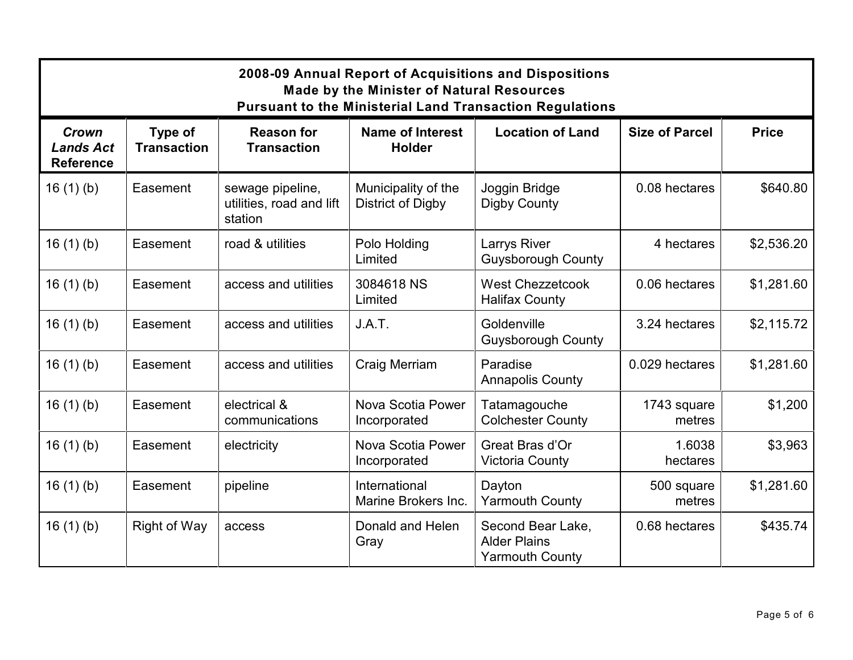| 2008-09 Annual Report of Acquisitions and Dispositions<br><b>Made by the Minister of Natural Resources</b><br><b>Pursuant to the Ministerial Land Transaction Regulations</b> |                               |                                                         |                                          |                                                                    |                       |              |
|-------------------------------------------------------------------------------------------------------------------------------------------------------------------------------|-------------------------------|---------------------------------------------------------|------------------------------------------|--------------------------------------------------------------------|-----------------------|--------------|
| Crown<br><b>Lands Act</b><br><b>Reference</b>                                                                                                                                 | Type of<br><b>Transaction</b> | <b>Reason for</b><br><b>Transaction</b>                 | <b>Name of Interest</b><br><b>Holder</b> | <b>Location of Land</b>                                            | <b>Size of Parcel</b> | <b>Price</b> |
| 16(1)(b)                                                                                                                                                                      | Easement                      | sewage pipeline,<br>utilities, road and lift<br>station | Municipality of the<br>District of Digby | Joggin Bridge<br>Digby County                                      | 0.08 hectares         | \$640.80     |
| 16(1)(b)                                                                                                                                                                      | Easement                      | road & utilities                                        | Polo Holding<br>Limited                  | Larrys River<br><b>Guysborough County</b>                          | 4 hectares            | \$2,536.20   |
| 16(1)(b)                                                                                                                                                                      | Easement                      | access and utilities                                    | 3084618 NS<br>Limited                    | <b>West Chezzetcook</b><br><b>Halifax County</b>                   | 0.06 hectares         | \$1,281.60   |
| 16(1)(b)                                                                                                                                                                      | Easement                      | access and utilities                                    | J.A.T.                                   | Goldenville<br><b>Guysborough County</b>                           | 3.24 hectares         | \$2,115.72   |
| 16(1)(b)                                                                                                                                                                      | Easement                      | access and utilities                                    | Craig Merriam                            | Paradise<br><b>Annapolis County</b>                                | 0.029 hectares        | \$1,281.60   |
| 16(1)(b)                                                                                                                                                                      | Easement                      | electrical &<br>communications                          | Nova Scotia Power<br>Incorporated        | Tatamagouche<br><b>Colchester County</b>                           | 1743 square<br>metres | \$1,200      |
| 16(1)(b)                                                                                                                                                                      | Easement                      | electricity                                             | Nova Scotia Power<br>Incorporated        | Great Bras d'Or<br><b>Victoria County</b>                          | 1.6038<br>hectares    | \$3,963      |
| 16(1)(b)                                                                                                                                                                      | Easement                      | pipeline                                                | International<br>Marine Brokers Inc.     | Dayton<br><b>Yarmouth County</b>                                   | 500 square<br>metres  | \$1,281.60   |
| 16(1)(b)                                                                                                                                                                      | Right of Way                  | access                                                  | Donald and Helen<br>Gray                 | Second Bear Lake,<br><b>Alder Plains</b><br><b>Yarmouth County</b> | 0.68 hectares         | \$435.74     |